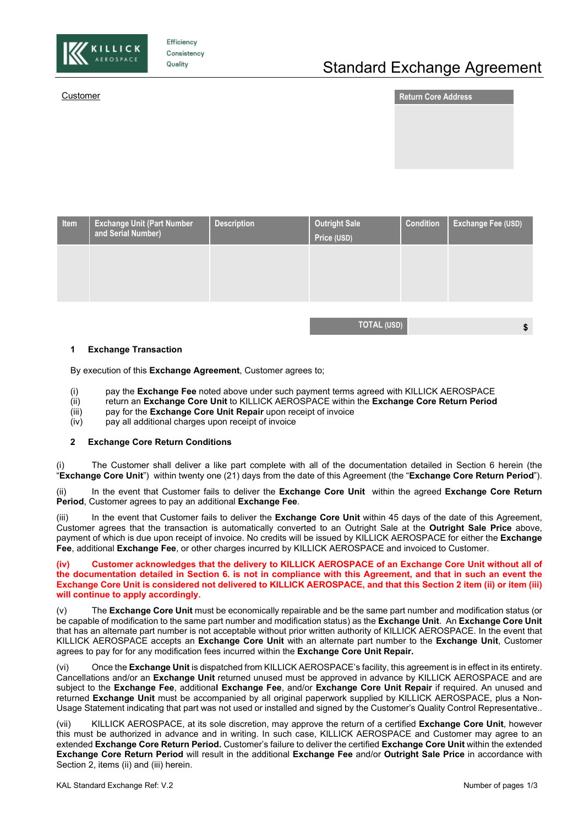

Efficiency Consistency Quality

# Standard Exchange Agreement

|--|



| Item | <b>Exchange Unit (Part Number</b> '<br>and Serial Number) | <b>Description</b> | <b>Outright Sale</b><br>Price (USD) | <b>Condition</b> | Exchange Fee (USD) |
|------|-----------------------------------------------------------|--------------------|-------------------------------------|------------------|--------------------|
|      |                                                           |                    |                                     |                  |                    |
|      |                                                           |                    |                                     |                  |                    |
|      |                                                           |                    |                                     |                  |                    |

**TOTAL (USD) \$**

### **1 Exchange Transaction**

By execution of this **Exchange Agreement**, Customer agrees to;

- (i) pay the **Exchange Fee** noted above under such payment terms agreed with KILLICK AEROSPACE
- (ii) return an **Exchange Core Unit** to KILLICK AEROSPACE within the **Exchange Core Return Period**
- (iii) pay for the **Exchange Core Unit Repair** upon receipt of invoice
- pay all additional charges upon receipt of invoice

### **2 Exchange Core Return Conditions**

The Customer shall deliver a like part complete with all of the documentation detailed in Section 6 herein (the "**Exchange Core Unit**") within twenty one (21) days from the date of this Agreement (the "**Exchange Core Return Period**").

(ii) In the event that Customer fails to deliver the **Exchange Core Unit** within the agreed **Exchange Core Return Period**, Customer agrees to pay an additional **Exchange Fee**.

(iii) In the event that Customer fails to deliver the **Exchange Core Unit** within 45 days of the date of this Agreement, Customer agrees that the transaction is automatically converted to an Outright Sale at the **Outright Sale Price** above, payment of which is due upon receipt of invoice. No credits will be issued by KILLICK AEROSPACE for either the **Exchange Fee**, additional **Exchange Fee**, or other charges incurred by KILLICK AEROSPACE and invoiced to Customer.

**(iv) Customer acknowledges that the delivery to KILLICK AEROSPACE of an Exchange Core Unit without all of the documentation detailed in Section 6. is not in compliance with this Agreement, and that in such an event the Exchange Core Unit is considered not delivered to KILLICK AEROSPACE, and that this Section 2 item (ii) or item (iii) will continue to apply accordingly.**

(v) The **Exchange Core Unit** must be economically repairable and be the same part number and modification status (or be capable of modification to the same part number and modification status) as the **Exchange Unit**. An **Exchange Core Unit** that has an alternate part number is not acceptable without prior written authority of KILLICK AEROSPACE. In the event that KILLICK AEROSPACE accepts an **Exchange Core Unit** with an alternate part number to the **Exchange Unit**, Customer agrees to pay for for any modification fees incurred within the **Exchange Core Unit Repair.**

(vi) Once the **Exchange Unit** is dispatched from KILLICK AEROSPACE's facility, this agreement is in effect in its entirety. Cancellations and/or an **Exchange Unit** returned unused must be approved in advance by KILLICK AEROSPACE and are subject to the **Exchange Fee**, additiona**l Exchange Fee**, and/or **Exchange Core Unit Repair** if required. An unused and returned **Exchange Unit** must be accompanied by all original paperwork supplied by KILLICK AEROSPACE, plus a Non-Usage Statement indicating that part was not used or installed and signed by the Customer's Quality Control Representative..

(vii) KILLICK AEROSPACE, at its sole discretion, may approve the return of a certified **Exchange Core Unit**, however this must be authorized in advance and in writing. In such case, KILLICK AEROSPACE and Customer may agree to an extended **Exchange Core Return Period.** Customer's failure to deliver the certified **Exchange Core Unit** within the extended **Exchange Core Return Period** will result in the additional **Exchange Fee** and/or **Outright Sale Price** in accordance with Section 2, items (ii) and (iii) herein.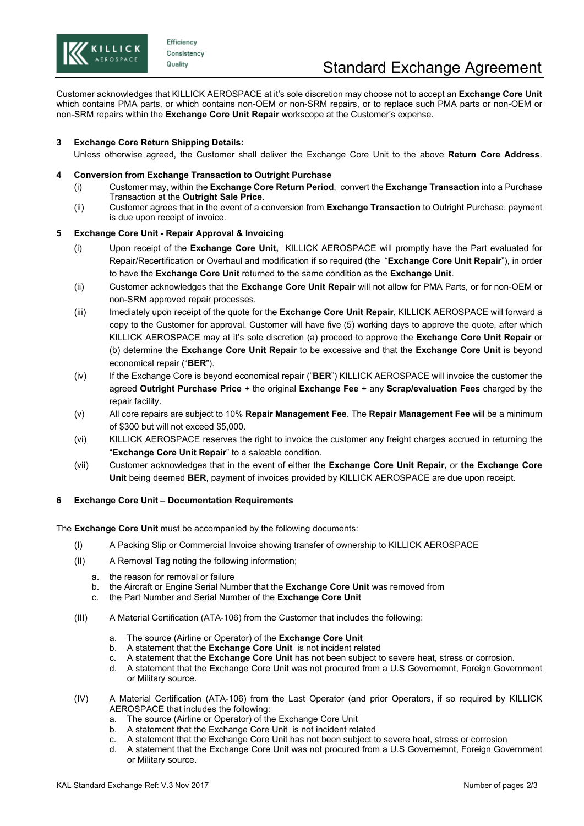

Efficiency Consistency Quality

Customer acknowledges that KILLICK AEROSPACE at it's sole discretion may choose not to accept an **Exchange Core Unit** which contains PMA parts, or which contains non-OEM or non-SRM repairs, or to replace such PMA parts or non-OEM or non-SRM repairs within the **Exchange Core Unit Repair** workscope at the Customer's expense.

# **3 Exchange Core Return Shipping Details:**

Unless otherwise agreed, the Customer shall deliver the Exchange Core Unit to the above **Return Core Address**.

# **4 Conversion from Exchange Transaction to Outright Purchase**

- (i) Customer may, within the **Exchange Core Return Period**, convert the **Exchange Transaction** into a Purchase Transaction at the **Outright Sale Price**.
- (ii) Customer agrees that in the event of a conversion from **Exchange Transaction** to Outright Purchase, payment is due upon receipt of invoice.

# **5 Exchange Core Unit - Repair Approval & Invoicing**

- (i) Upon receipt of the **Exchange Core Unit,** KILLICK AEROSPACE will promptly have the Part evaluated for Repair/Recertification or Overhaul and modification if so required (the "**Exchange Core Unit Repair**"), in order to have the **Exchange Core Unit** returned to the same condition as the **Exchange Unit**.
- (ii) Customer acknowledges that the **Exchange Core Unit Repair** will not allow for PMA Parts, or for non-OEM or non-SRM approved repair processes.
- (iii) Imediately upon receipt of the quote for the **Exchange Core Unit Repair**, KILLICK AEROSPACE will forward a copy to the Customer for approval. Customer will have five (5) working days to approve the quote, after which KILLICK AEROSPACE may at it's sole discretion (a) proceed to approve the **Exchange Core Unit Repair** or (b) determine the **Exchange Core Unit Repair** to be excessive and that the **Exchange Core Unit** is beyond economical repair ("**BER**").
- (iv) If the Exchange Core is beyond economical repair ("**BER**") KILLICK AEROSPACE will invoice the customer the agreed **Outright Purchase Price** + the original **Exchange Fee** + any **Scrap/evaluation Fees** charged by the repair facility.
- (v) All core repairs are subject to 10% **Repair Management Fee**. The **Repair Management Fee** will be a minimum of \$300 but will not exceed \$5,000.
- (vi) KILLICK AEROSPACE reserves the right to invoice the customer any freight charges accrued in returning the "**Exchange Core Unit Repair**" to a saleable condition.
- (vii) Customer acknowledges that in the event of either the **Exchange Core Unit Repair,** or **the Exchange Core Unit** being deemed **BER**, payment of invoices provided by KILLICK AEROSPACE are due upon receipt.

# **6 Exchange Core Unit – Documentation Requirements**

The **Exchange Core Unit** must be accompanied by the following documents:

- (I) A Packing Slip or Commercial Invoice showing transfer of ownership to KILLICK AEROSPACE
- (II) A Removal Tag noting the following information;
	- a. the reason for removal or failure
	- b. the Aircraft or Engine Serial Number that the **Exchange Core Unit** was removed from
	- c. the Part Number and Serial Number of the **Exchange Core Unit**
- (III) A Material Certification (ATA-106) from the Customer that includes the following:
	- a. The source (Airline or Operator) of the **Exchange Core Unit**
	- b. A statement that the **Exchange Core Unit** is not incident related
	- c. A statement that the **Exchange Core Unit** has not been subject to severe heat, stress or corrosion.
	- d. A statement that the Exchange Core Unit was not procured from a U.S Governemnt, Foreign Government or Military source.
- (IV) A Material Certification (ATA-106) from the Last Operator (and prior Operators, if so required by KILLICK AEROSPACE that includes the following:
	- a. The source (Airline or Operator) of the Exchange Core Unit
	- b. A statement that the Exchange Core Unit is not incident related
	- c. A statement that the Exchange Core Unit has not been subject to severe heat, stress or corrosion
	- d. A statement that the Exchange Core Unit was not procured from a U.S Governemnt, Foreign Government or Military source.